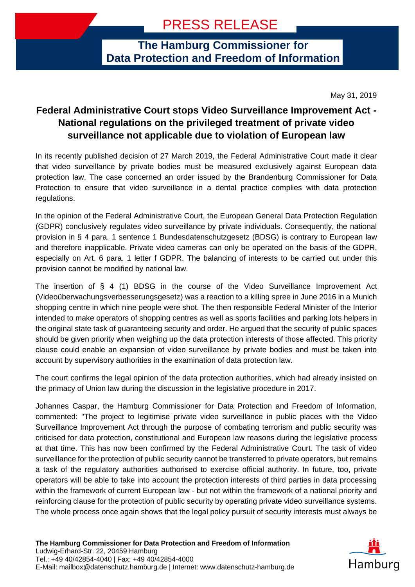**The Hamburg Commissioner for Data Protection and Freedom of Information**

May 31, 2019

## **Federal Administrative Court stops Video Surveillance Improvement Act - National regulations on the privileged treatment of private video surveillance not applicable due to violation of European law**

In its recently published decision of 27 March 2019, the Federal Administrative Court made it clear that video surveillance by private bodies must be measured exclusively against European data protection law. The case concerned an order issued by the Brandenburg Commissioner for Data Protection to ensure that video surveillance in a dental practice complies with data protection regulations.

In the opinion of the Federal Administrative Court, the European General Data Protection Regulation (GDPR) conclusively regulates video surveillance by private individuals. Consequently, the national provision in § 4 para. 1 sentence 1 Bundesdatenschutzgesetz (BDSG) is contrary to European law and therefore inapplicable. Private video cameras can only be operated on the basis of the GDPR, especially on Art. 6 para. 1 letter f GDPR. The balancing of interests to be carried out under this provision cannot be modified by national law.

The insertion of § 4 (1) BDSG in the course of the Video Surveillance Improvement Act (Videoüberwachungsverbesserungsgesetz) was a reaction to a killing spree in June 2016 in a Munich shopping centre in which nine people were shot. The then responsible Federal Minister of the Interior intended to make operators of shopping centres as well as sports facilities and parking lots helpers in the original state task of guaranteeing security and order. He argued that the security of public spaces should be given priority when weighing up the data protection interests of those affected. This priority clause could enable an expansion of video surveillance by private bodies and must be taken into account by supervisory authorities in the examination of data protection law.

The court confirms the legal opinion of the data protection authorities, which had already insisted on the primacy of Union law during the discussion in the legislative procedure in 2017.

Johannes Caspar, the Hamburg Commissioner for Data Protection and Freedom of Information, commented: "The project to legitimise private video surveillance in public places with the Video Surveillance Improvement Act through the purpose of combating terrorism and public security was criticised for data protection, constitutional and European law reasons during the legislative process at that time. This has now been confirmed by the Federal Administrative Court. The task of video surveillance for the protection of public security cannot be transferred to private operators, but remains a task of the regulatory authorities authorised to exercise official authority. In future, too, private operators will be able to take into account the protection interests of third parties in data processing within the framework of current European law - but not within the framework of a national priority and reinforcing clause for the protection of public security by operating private video surveillance systems. The whole process once again shows that the legal policy pursuit of security interests must always be